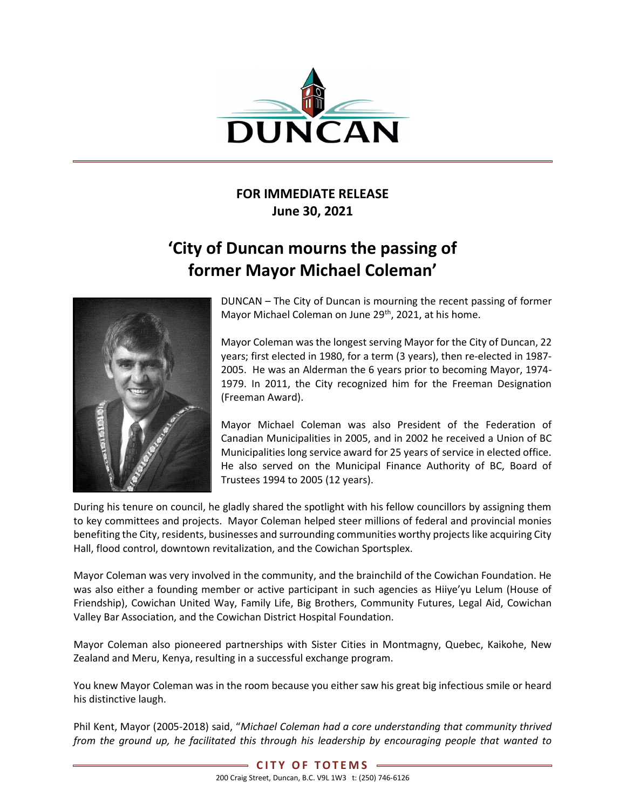

## FOR IMMEDIATE RELEASE June 30, 2021

## 'City of Duncan mourns the passing of former Mayor Michael Coleman'



DUNCAN – The City of Duncan is mourning the recent passing of former Mayor Michael Coleman on June 29<sup>th</sup>, 2021, at his home.

Mayor Coleman was the longest serving Mayor for the City of Duncan, 22 years; first elected in 1980, for a term (3 years), then re-elected in 1987- 2005. He was an Alderman the 6 years prior to becoming Mayor, 1974- 1979. In 2011, the City recognized him for the Freeman Designation (Freeman Award).

Mayor Michael Coleman was also President of the Federation of Canadian Municipalities in 2005, and in 2002 he received a Union of BC Municipalities long service award for 25 years of service in elected office. He also served on the Municipal Finance Authority of BC, Board of Trustees 1994 to 2005 (12 years).

During his tenure on council, he gladly shared the spotlight with his fellow councillors by assigning them to key committees and projects. Mayor Coleman helped steer millions of federal and provincial monies benefiting the City, residents, businesses and surrounding communities worthy projects like acquiring City Hall, flood control, downtown revitalization, and the Cowichan Sportsplex.

Mayor Coleman was very involved in the community, and the brainchild of the Cowichan Foundation. He was also either a founding member or active participant in such agencies as Hiiye'yu Lelum (House of Friendship), Cowichan United Way, Family Life, Big Brothers, Community Futures, Legal Aid, Cowichan Valley Bar Association, and the Cowichan District Hospital Foundation.

Mayor Coleman also pioneered partnerships with Sister Cities in Montmagny, Quebec, Kaikohe, New Zealand and Meru, Kenya, resulting in a successful exchange program.

You knew Mayor Coleman was in the room because you either saw his great big infectious smile or heard his distinctive laugh.

Phil Kent, Mayor (2005-2018) said, "Michael Coleman had a core understanding that community thrived from the ground up, he facilitated this through his leadership by encouraging people that wanted to